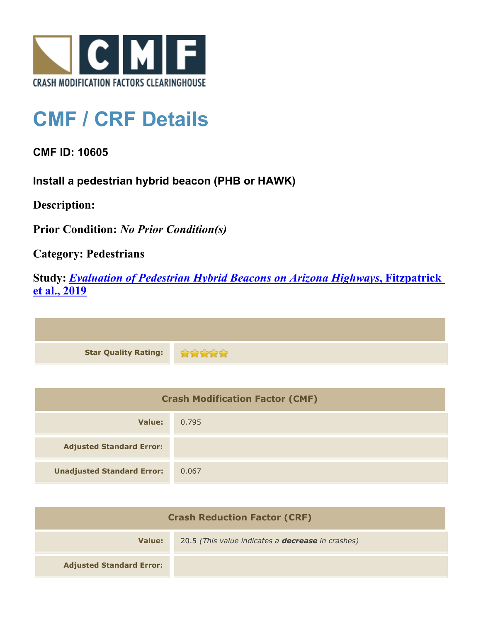

## **CMF / CRF Details**

**CMF ID: 10605**

**Install a pedestrian hybrid beacon (PHB or HAWK)**

**Description:** 

**Prior Condition:** *No Prior Condition(s)*

**Category: Pedestrians**

**Study:** *[Evaluation of Pedestrian Hybrid Beacons on Arizona Highways](http://www.cmfclearinghouse.org/study_detail.cfm?stid=611)***[, Fitzpatrick](http://www.cmfclearinghouse.org/study_detail.cfm?stid=611) [et al., 2019](http://www.cmfclearinghouse.org/study_detail.cfm?stid=611)**

\*\*\*\*\* **Star Quality Rating:**

| <b>Crash Modification Factor (CMF)</b> |       |
|----------------------------------------|-------|
| Value:                                 | 0.795 |
| <b>Adjusted Standard Error:</b>        |       |
| <b>Unadjusted Standard Error:</b>      | 0.067 |

| <b>Crash Reduction Factor (CRF)</b> |                                                          |
|-------------------------------------|----------------------------------------------------------|
| Value:                              | 20.5 (This value indicates a <b>decrease</b> in crashes) |
| <b>Adjusted Standard Error:</b>     |                                                          |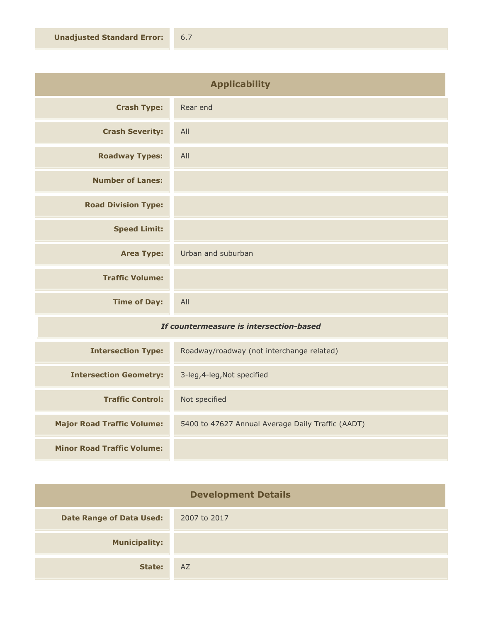| <b>Applicability</b>                    |                    |
|-----------------------------------------|--------------------|
| <b>Crash Type:</b>                      | Rear end           |
| <b>Crash Severity:</b>                  | All                |
| <b>Roadway Types:</b>                   | All                |
| <b>Number of Lanes:</b>                 |                    |
| <b>Road Division Type:</b>              |                    |
| <b>Speed Limit:</b>                     |                    |
| <b>Area Type:</b>                       | Urban and suburban |
| <b>Traffic Volume:</b>                  |                    |
| <b>Time of Day:</b>                     | All                |
| If countermeasure is intersection-hased |                    |

## *If countermeasure is intersection-based*

| <b>Intersection Type:</b>         | Roadway/roadway (not interchange related)         |
|-----------------------------------|---------------------------------------------------|
| <b>Intersection Geometry:</b>     | 3-leg, 4-leg, Not specified                       |
| <b>Traffic Control:</b>           | Not specified                                     |
| <b>Major Road Traffic Volume:</b> | 5400 to 47627 Annual Average Daily Traffic (AADT) |
| <b>Minor Road Traffic Volume:</b> |                                                   |

| <b>Development Details</b>      |              |
|---------------------------------|--------------|
| <b>Date Range of Data Used:</b> | 2007 to 2017 |
| <b>Municipality:</b>            |              |
| State:                          | AZ.          |